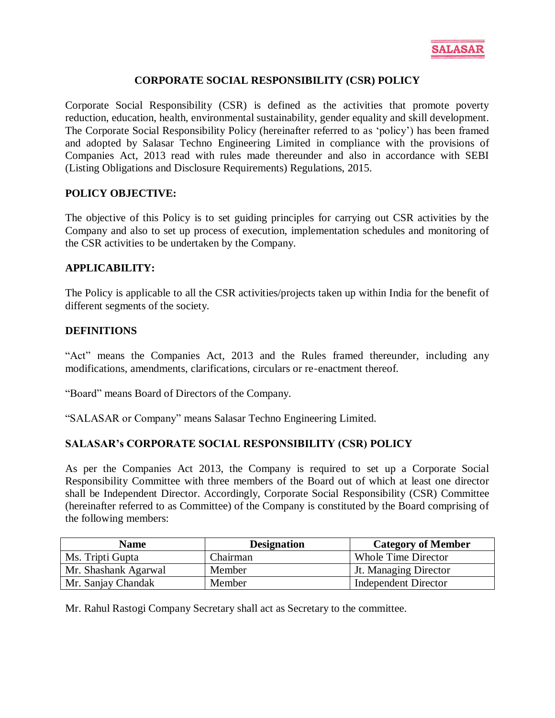

## **CORPORATE SOCIAL RESPONSIBILITY (CSR) POLICY**

Corporate Social Responsibility (CSR) is defined as the activities that promote poverty reduction, education, health, environmental sustainability, gender equality and skill development. The Corporate Social Responsibility Policy (hereinafter referred to as 'policy') has been framed and adopted by Salasar Techno Engineering Limited in compliance with the provisions of Companies Act, 2013 read with rules made thereunder and also in accordance with SEBI (Listing Obligations and Disclosure Requirements) Regulations, 2015.

### **POLICY OBJECTIVE:**

The objective of this Policy is to set guiding principles for carrying out CSR activities by the Company and also to set up process of execution, implementation schedules and monitoring of the CSR activities to be undertaken by the Company.

### **APPLICABILITY:**

The Policy is applicable to all the CSR activities/projects taken up within India for the benefit of different segments of the society.

### **DEFINITIONS**

"Act" means the Companies Act, 2013 and the Rules framed thereunder, including any modifications, amendments, clarifications, circulars or re-enactment thereof.

"Board" means Board of Directors of the Company.

"SALASAR or Company" means Salasar Techno Engineering Limited.

## **SALASAR's CORPORATE SOCIAL RESPONSIBILITY (CSR) POLICY**

As per the Companies Act 2013, the Company is required to set up a Corporate Social Responsibility Committee with three members of the Board out of which at least one director shall be Independent Director. Accordingly, Corporate Social Responsibility (CSR) Committee (hereinafter referred to as Committee) of the Company is constituted by the Board comprising of the following members:

| <b>Name</b>          | <b>Designation</b> | <b>Category of Member</b>    |
|----------------------|--------------------|------------------------------|
| Ms. Tripti Gupta     | Chairman           | <b>Whole Time Director</b>   |
| Mr. Shashank Agarwal | Member             | <b>Jt. Managing Director</b> |
| Mr. Sanjay Chandak   | Member             | <b>Independent Director</b>  |

Mr. Rahul Rastogi Company Secretary shall act as Secretary to the committee.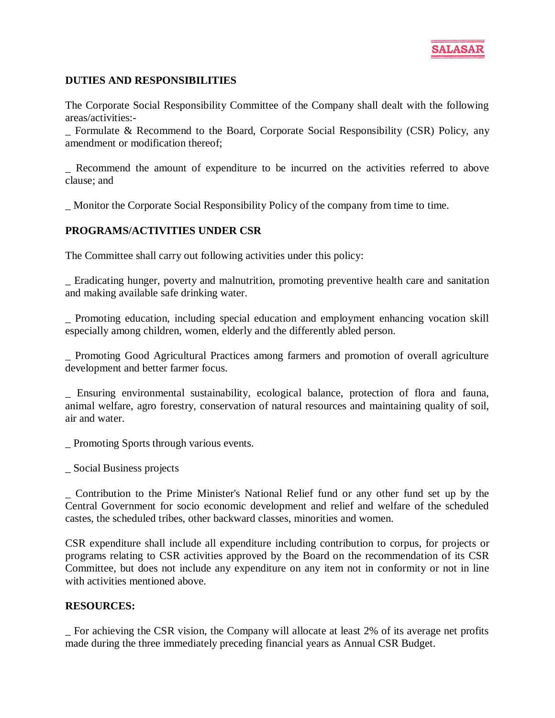

# **DUTIES AND RESPONSIBILITIES**

The Corporate Social Responsibility Committee of the Company shall dealt with the following areas/activities:-

Formulate & Recommend to the Board, Corporate Social Responsibility (CSR) Policy, any amendment or modification thereof;

\_ Recommend the amount of expenditure to be incurred on the activities referred to above clause; and

\_ Monitor the Corporate Social Responsibility Policy of the company from time to time.

## **PROGRAMS/ACTIVITIES UNDER CSR**

The Committee shall carry out following activities under this policy:

\_ Eradicating hunger, poverty and malnutrition, promoting preventive health care and sanitation and making available safe drinking water.

\_ Promoting education, including special education and employment enhancing vocation skill especially among children, women, elderly and the differently abled person.

\_ Promoting Good Agricultural Practices among farmers and promotion of overall agriculture development and better farmer focus.

\_ Ensuring environmental sustainability, ecological balance, protection of flora and fauna, animal welfare, agro forestry, conservation of natural resources and maintaining quality of soil, air and water.

\_ Promoting Sports through various events.

\_ Social Business projects

\_ Contribution to the Prime Minister's National Relief fund or any other fund set up by the Central Government for socio economic development and relief and welfare of the scheduled castes, the scheduled tribes, other backward classes, minorities and women.

CSR expenditure shall include all expenditure including contribution to corpus, for projects or programs relating to CSR activities approved by the Board on the recommendation of its CSR Committee, but does not include any expenditure on any item not in conformity or not in line with activities mentioned above.

## **RESOURCES:**

\_ For achieving the CSR vision, the Company will allocate at least 2% of its average net profits made during the three immediately preceding financial years as Annual CSR Budget.